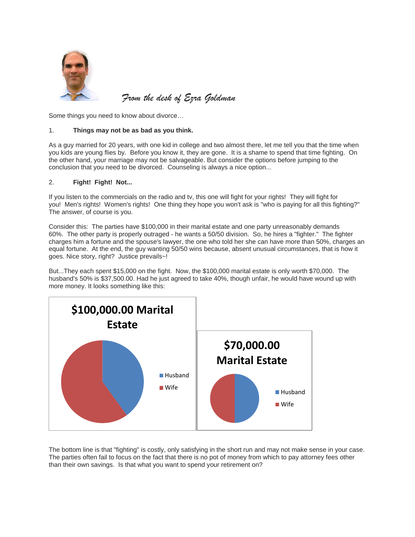

*From the desk of Ezra Goldman*

Some things you need to know about divorce…

## 1. **Things may not be as bad as you think.**

As a guy married for 20 years, with one kid in college and two almost there, let me tell you that the time when you kids are young flies by. Before you know it, they are gone. It is a shame to spend that time fighting. On the other hand, your marriage may not be salvageable. But consider the options before jumping to the conclusion that you need to be divorced. Counseling is always a nice option...

## 2. **Fight! Fight! Not...**

If you listen to the commercials on the radio and tv, this one will fight for your rights! They will fight for you! Men's rights! Women's rights! One thing they hope you won't ask is "who is paying for all this fighting?" The answer, of course is you.

Consider this: The parties have \$100,000 in their marital estate and one party unreasonably demands 60%. The other party is properly outraged - he wants a 50/50 division. So, he hires a "fighter." The fighter charges him a fortune and the spouse's lawyer, the one who told her she can have more than 50%, charges an equal fortune. At the end, the guy wanting 50/50 wins because, absent unusual circumstances, that is how it goes. Nice story, right? Justice prevails~!

But...They each spent \$15,000 on the fight. Now, the \$100,000 marital estate is only worth \$70,000. The husband's 50% is \$37,500.00. Had he just agreed to take 40%, though unfair, he would have wound up with more money. It looks something like this:



The bottom line is that "fighting" is costly, only satisfying in the short run and may not make sense in your case. The parties often fail to focus on the fact that there is no pot of money from which to pay attorney fees other than their own savings. Is that what you want to spend your retirement on?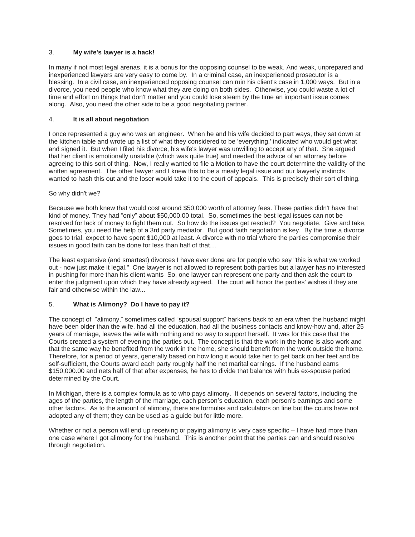#### 3. **My wife's lawyer is a hack!**

In many if not most legal arenas, it is a bonus for the opposing counsel to be weak. And weak, unprepared and inexperienced lawyers are very easy to come by. In a criminal case, an inexperienced prosecutor is a blessing. In a civil case, an inexperienced opposing counsel can ruin his client's case in 1,000 ways. But in a divorce, you need people who know what they are doing on both sides. Otherwise, you could waste a lot of time and effort on things that don't matter and you could lose steam by the time an important issue comes along. Also, you need the other side to be a good negotiating partner.

#### 4. **It is all about negotiation**

I once represented a guy who was an engineer. When he and his wife decided to part ways, they sat down at the kitchen table and wrote up a list of what they considered to be 'everything,' indicated who would get what and signed it. But when I filed his divorce, his wife's lawyer was unwilling to accept any of that. She argued that her client is emotionally unstable (which was quite true) and needed the advice of an attorney before agreeing to this sort of thing. Now, I really wanted to file a Motion to have the court determine the validity of the written agreement. The other lawyer and I knew this to be a meaty legal issue and our lawyerly instincts wanted to hash this out and the loser would take it to the court of appeals. This is precisely their sort of thing.

#### So why didn't we?

Because we both knew that would cost around \$50,000 worth of attorney fees. These parties didn't have that kind of money. They had "only" about \$50,000.00 total. So, sometimes the best legal issues can not be resolved for lack of money to fight them out. So how do the issues get resoled? You negotiate. Give and take, Sometimes, you need the help of a 3rd party mediator. But good faith negotiation is key. By the time a divorce goes to trial, expect to have spent \$10,000 at least. A divorce with no trial where the parties compromise their issues in good faith can be done for less than half of that…

The least expensive (and smartest) divorces I have ever done are for people who say "this is what we worked out - now just make it legal." One lawyer is not allowed to represent both parties but a lawyer has no interested in pushing for more than his client wants So, one lawyer can represent one party and then ask the court to enter the judgment upon which they have already agreed. The court will honor the parties' wishes if they are fair and otherwise within the law...

### 5. **What is Alimony? Do I have to pay it?**

The concept of "alimony," sometimes called "spousal support" harkens back to an era when the husband might have been older than the wife, had all the education, had all the business contacts and know-how and, after 25 years of marriage, leaves the wife with nothing and no way to support herself. It was for this case that the Courts created a system of evening the parties out. The concept is that the work in the home is also work and that the same way he benefited from the work in the home, she should benefit from the work outside the home. Therefore, for a period of years, generally based on how long it would take her to get back on her feet and be self-sufficient, the Courts award each party roughly half the net marital earnings. If the husband earns \$150,000.00 and nets half of that after expenses, he has to divide that balance with huis ex-spouse period determined by the Court.

In Michigan, there is a complex formula as to who pays alimony. It depends on several factors, including the ages of the parties, the length of the marriage, each person's education, each person's earnings and some other factors. As to the amount of alimony, there are formulas and calculators on line but the courts have not adopted any of them; they can be used as a guide but for little more.

Whether or not a person will end up receiving or paying alimony is very case specific – I have had more than one case where I got alimony for the husband. This is another point that the parties can and should resolve through negotiation.